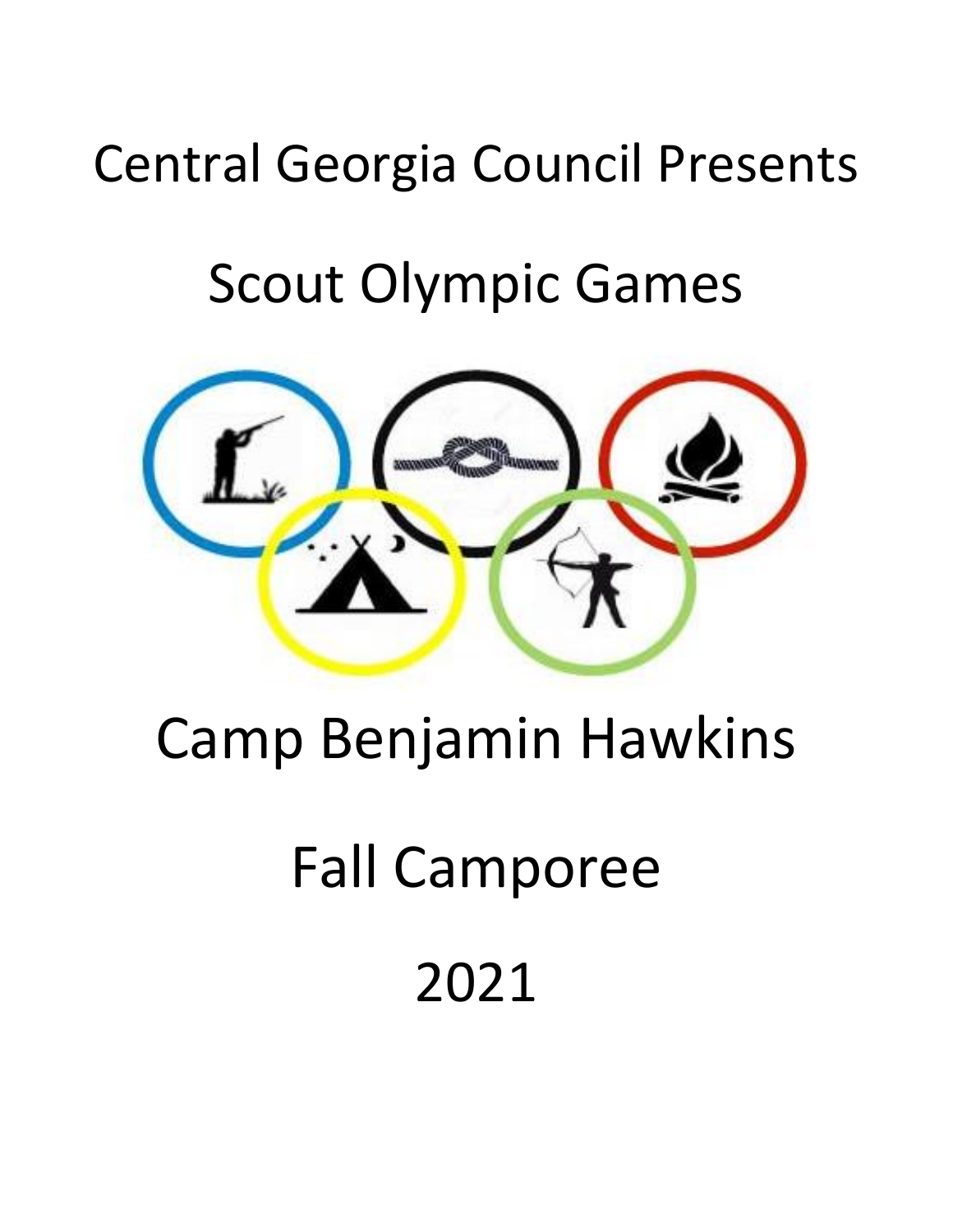### Central Georgia Council Presents

### Scout Olympic Games



# Camp Benjamin Hawkins

# Fall Camporee

## 2021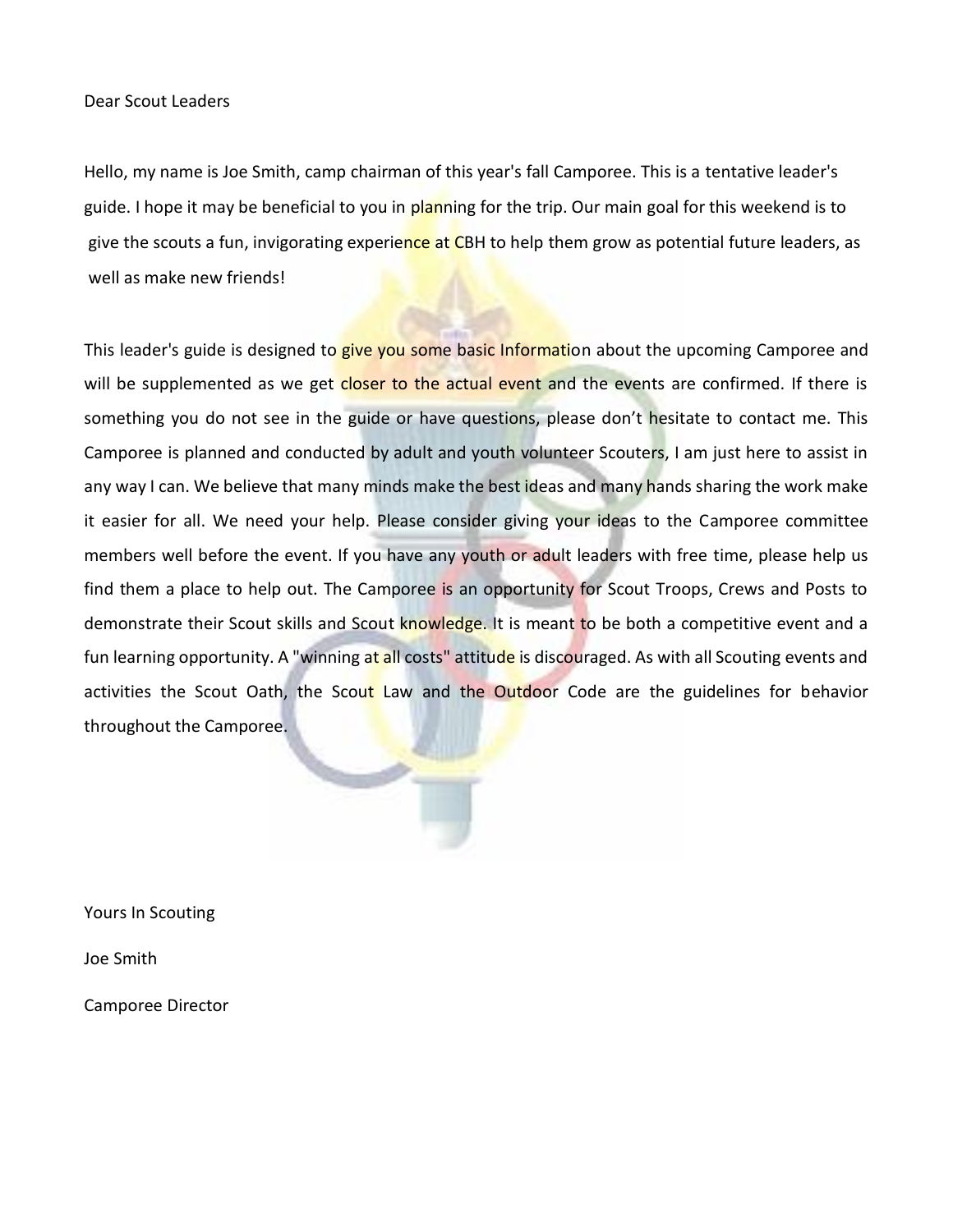Dear Scout Leaders

Hello, my name is Joe Smith, camp chairman of this year's fall Camporee. This is a tentative leader's guide. I hope it may be beneficial to you in planning for the trip. Our main goal for this weekend is to give the scouts a fun, invigorating experience at CBH to help them grow as potential future leaders, as well as make new friends!

This leader's guide is designed to give you some basic Information about the upcoming Camporee and will be supplemented as we get closer to the actual event and the events are confirmed. If there is something you do not see in the guide or have questions, please don't hesitate to contact me. This Camporee is planned and conducted by adult and youth volunteer Scouters, I am just here to assist in any way I can. We believe that many minds make the best ideas and many hands sharing the work make it easier for all. We need your help. Please consider giving your ideas to the Camporee committee members well before the event. If you have any youth or adult leaders with free time, please help us find them a place to help out. The Camporee is an opportunity for Scout Troops, Crews and Posts to demonstrate their Scout skills and Scout knowledge. It is meant to be both a competitive event and a fun learning opportunity. A "winning at all costs" attitude is discouraged. As with all Scouting events and activities the Scout Oath, the Scout Law and the Outdoor Code are the guidelines for behavior throughout the Camporee.

Yours In Scouting

Joe Smith

Camporee Director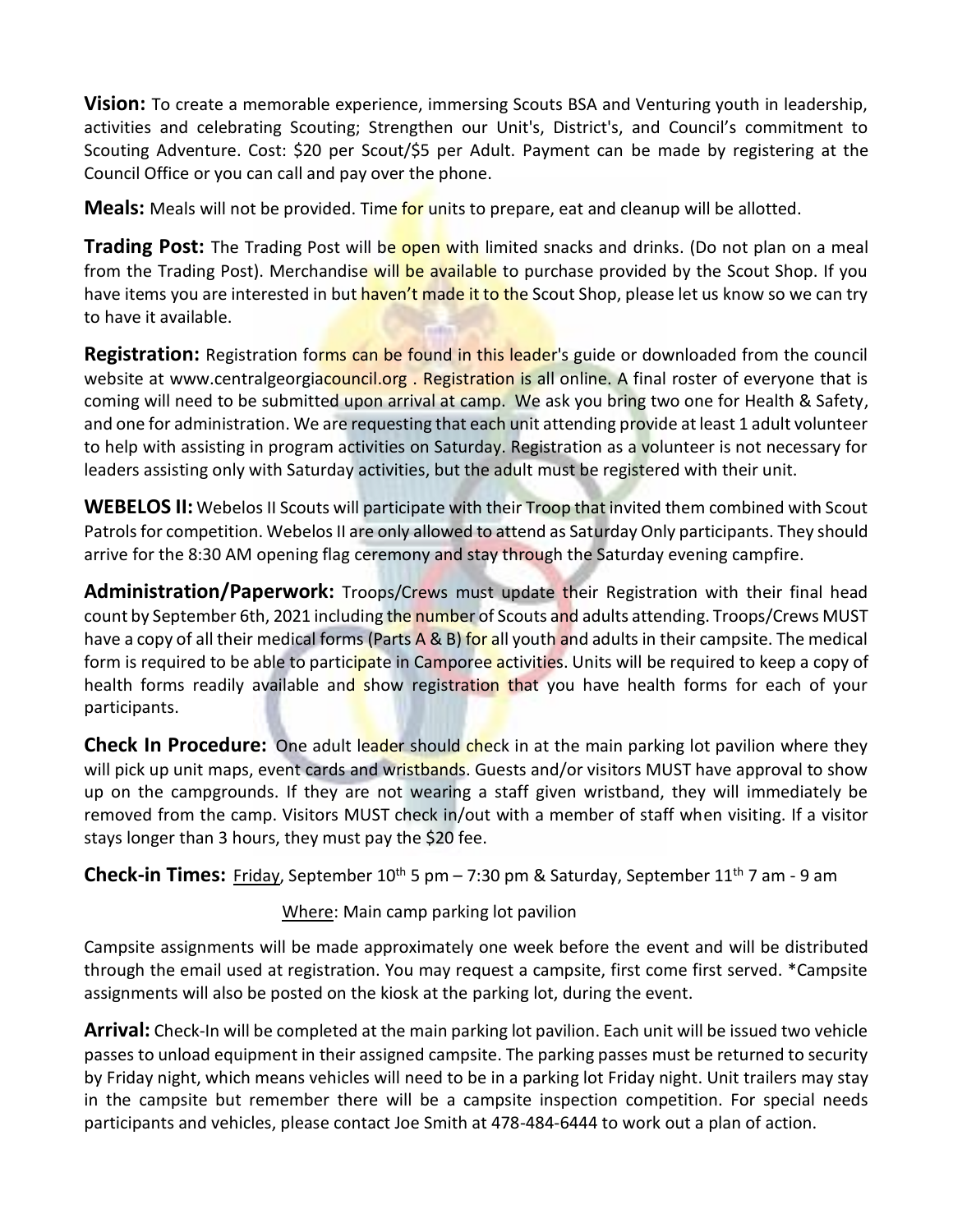**Vision:** To create a memorable experience, immersing Scouts BSA and Venturing youth in leadership, activities and celebrating Scouting; Strengthen our Unit's, District's, and Council's commitment to Scouting Adventure. Cost: \$20 per Scout/\$5 per Adult. Payment can be made by registering at the Council Office or you can call and pay over the phone.

**Meals:** Meals will not be provided. Time for units to prepare, eat and cleanup will be allotted.

**Trading Post:** The Trading Post will be open with limited snacks and drinks. (Do not plan on a meal from the Trading Post). Merchandise will be available to purchase provided by the Scout Shop. If you have items you are interested in but haven't made it to the Scout Shop, please let us know so we can try to have it available.

Registration: Registration forms can be found in this leader's guide or downloaded from the council website at www.centralgeorgiacouncil.org. Registration is all online. A final roster of everyone that is coming will need to be submitted upon arrival at camp. We ask you bring two one for Health & Safety, and one for administration. We are requesting that each unit attending provide at least 1 adult volunteer to help with assisting in program activities on Saturday. Registration as a volunteer is not necessary for leaders assisting only with Saturday activities, but the adult must be registered with their unit.

**WEBELOS II:** Webelos II Scouts will participate with their Troop that invited them combined with Scout Patrols for competition. Webelos II are only allowed to attend as Saturday Only participants. They should arrive for the 8:30 AM opening flag ceremony and stay through the Saturday evening campfire.

**Administration/Paperwork:** Troops/Crews must update their Registration with their final head count by September 6th, 2021 including the number of Scouts and adults attending. Troops/Crews MUST have a copy of all their medical forms (Parts A & B) for all youth and adults in their campsite. The medical form is required to be able to participate in Camporee activities. Units will be required to keep a copy of health forms readily available and show registration that you have health forms for each of your participants.

**Check In Procedure:** One adult leader should check in at the main parking lot pavilion where they will pick up unit maps, event cards and wristbands. Guests and/or visitors MUST have approval to show up on the campgrounds. If they are not wearing a staff given wristband, they will immediately be removed from the camp. Visitors MUST check in/out with a member of staff when visiting. If a visitor stays longer than 3 hours, they must pay the \$20 fee.

**Check-in Times:** Friday, September 10<sup>th</sup> 5 pm - 7:30 pm & Saturday, September 11<sup>th</sup> 7 am - 9 am

Where: Main camp parking lot pavilion

Campsite assignments will be made approximately one week before the event and will be distributed through the email used at registration. You may request a campsite, first come first served. \*Campsite assignments will also be posted on the kiosk at the parking lot, during the event.

**Arrival:** Check-In will be completed at the main parking lot pavilion. Each unit will be issued two vehicle passes to unload equipment in their assigned campsite. The parking passes must be returned to security by Friday night, which means vehicles will need to be in a parking lot Friday night. Unit trailers may stay in the campsite but remember there will be a campsite inspection competition. For special needs participants and vehicles, please contact Joe Smith at 478-484-6444 to work out a plan of action.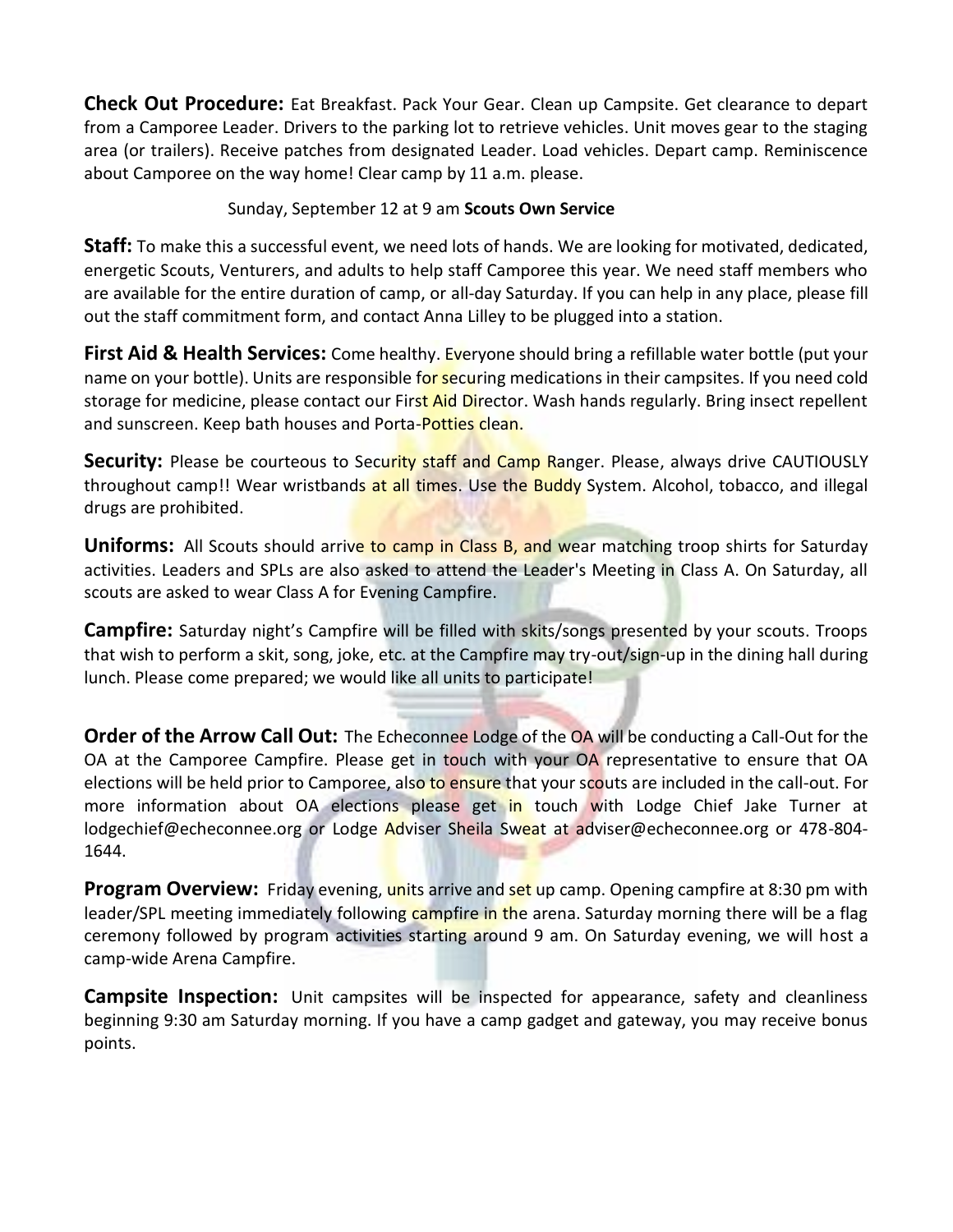**Check Out Procedure:** Eat Breakfast. Pack Your Gear. Clean up Campsite. Get clearance to depart from a Camporee Leader. Drivers to the parking lot to retrieve vehicles. Unit moves gear to the staging area (or trailers). Receive patches from designated Leader. Load vehicles. Depart camp. Reminiscence about Camporee on the way home! Clear camp by 11 a.m. please.

#### Sunday, September 12 at 9 am **Scouts Own Service**

**Staff:** To make this a successful event, we need lots of hands. We are looking for motivated, dedicated, energetic Scouts, Venturers, and adults to help staff Camporee this year. We need staff members who are available for the entire duration of camp, or all-day Saturday. If you can help in any place, please fill out the staff commitment form, and contact Anna Lilley to be plugged into a station.

**First Aid & Health Services:** Come healthy. Everyone should bring a refillable water bottle (put your name on your bottle). Units are responsible for securing medications in their campsites. If you need cold storage for medicine, please contact our First Aid Director. Wash hands regularly. Bring insect repellent and sunscreen. Keep bath houses and Porta-Potties clean.

Security: Please be courteous to Security staff and Camp Ranger. Please, always drive CAUTIOUSLY throughout camp!! Wear wristbands at all times. Use the Buddy System. Alcohol, tobacco, and illegal drugs are prohibited.

**Uniforms:** All Scouts should arrive to camp in Class B, and wear matching troop shirts for Saturday activities. Leaders and SPLs are also asked to attend the Leader's Meeting in Class A. On Saturday, all scouts are asked to wear Class A for Evening Campfire.

**Campfire:** Saturday night's Campfire will be filled with skits/songs presented by your scouts. Troops that wish to perform a skit, song, joke, etc. at the Campfire may try-out/sign-up in the dining hall during lunch. Please come prepared; we would like all units to participate!

**Order of the Arrow Call Out:** The Echeconnee Lodge of the OA will be conducting a Call-Out for the OA at the Camporee Campfire. Please get in touch with your OA representative to ensure that OA elections will be held prior to Camporee, also to ensure that your scouts are included in the call-out. For more information about OA elections please get in touch with Lodge Chief Jake Turner at lodgechief@echeconnee.org or Lodge Adviser Sheila Sweat at adviser@echeconnee.org or 478-804-1644.

**Program Overview:** Friday evening, units arrive and set up camp. Opening campfire at 8:30 pm with leader/SPL meeting immediately following campfire in the arena. Saturday morning there will be a flag ceremony followed by program activities starting around 9 am. On Saturday evening, we will host a camp-wide Arena Campfire.

**Campsite Inspection:** Unit campsites will be inspected for appearance, safety and cleanliness beginning 9:30 am Saturday morning. If you have a camp gadget and gateway, you may receive bonus points.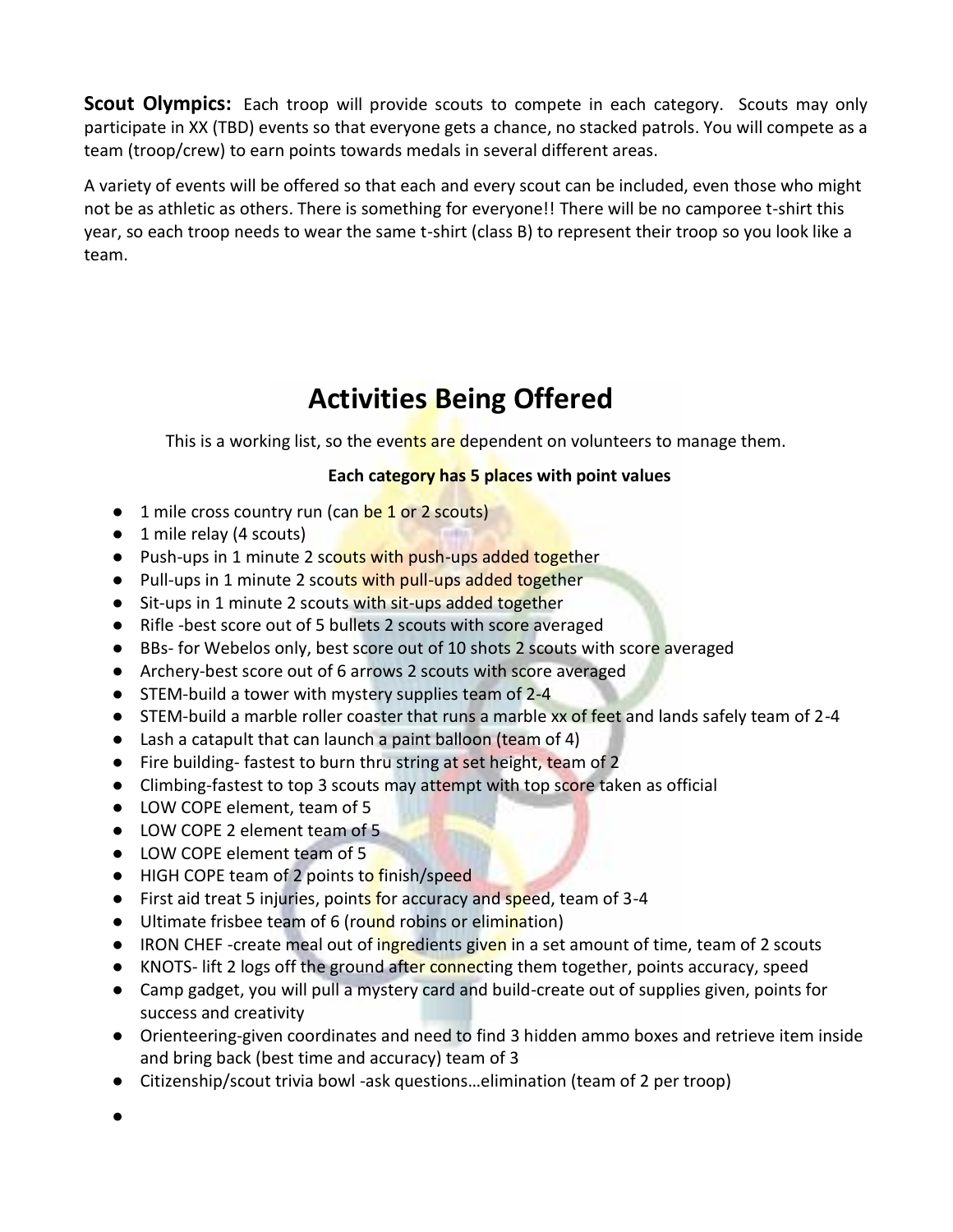**Scout Olympics:** Each troop will provide scouts to compete in each category. Scouts may only participate in XX (TBD) events so that everyone gets a chance, no stacked patrols. You will compete as a team (troop/crew) to earn points towards medals in several different areas.

A variety of events will be offered so that each and every scout can be included, even those who might not be as athletic as others. There is something for everyone!! There will be no camporee t-shirt this year, so each troop needs to wear the same t-shirt (class B) to represent their troop so you look like a team.

#### **Activities Being Offered**

This is a working list, so the events are dependent on volunteers to manage them.

#### **Each category has 5 places with point values**

- 1 mile cross country run (can be 1 or 2 scouts)
- 1 mile relay (4 scouts)
- Push-ups in 1 minute 2 scouts with push-ups added together
- Pull-ups in 1 minute 2 scouts with pull-ups added together
- Sit-ups in 1 minute 2 scouts with sit-ups added together
- Rifle -best score out of 5 bullets 2 scouts with score averaged
- BBs- for Webelos only, best score out of 10 shots 2 scouts with score averaged
- Archery-best score out of 6 arrows 2 scouts with score averaged
- STEM-build a tower with mystery supplies team of 2-4
- STEM-build a marble roller coaster that runs a marble xx of feet and lands safely team of 2-4
- Lash a catapult that can launch a paint balloon (team of 4)
- Fire building-fastest to burn thru string at set height, team of 2
- Climbing-fastest to top 3 scouts may attempt with top score taken as official
- LOW COPE element, team of 5
- LOW COPE 2 element team of 5
- LOW COPE element team of 5
- HIGH COPE team of 2 points to finish/speed
- First aid treat 5 injuries, points for accuracy and speed, team of 3-4
- Ultimate frisbee team of 6 (round robins or elimination)
- $\bullet$  IRON CHEF -create meal out of ingredients given in a set amount of time, team of 2 scouts
- KNOTS- lift 2 logs off the ground after connecting them together, points accuracy, speed
- Camp gadget, you will pull a mystery card and build-create out of supplies given, points for success and creativity
- Orienteering-given coordinates and need to find 3 hidden ammo boxes and retrieve item inside and bring back (best time and accuracy) team of 3
- Citizenship/scout trivia bowl -ask questions…elimination (team of 2 per troop)
- ●